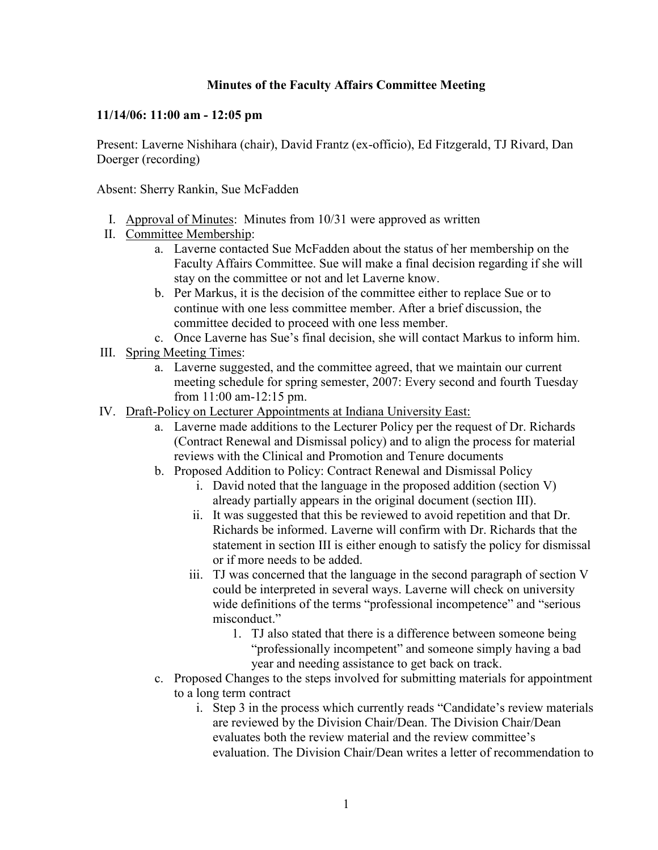## **Minutes of the Faculty Affairs Committee Meeting**

## **11/14/06: 11:00 am - 12:05 pm**

Present: Laverne Nishihara (chair), David Frantz (ex-officio), Ed Fitzgerald, TJ Rivard, Dan Doerger (recording)

Absent: Sherry Rankin, Sue McFadden

- I. Approval of Minutes: Minutes from 10/31 were approved as written
- II. Committee Membership:
	- a. Laverne contacted Sue McFadden about the status of her membership on the Faculty Affairs Committee. Sue will make a final decision regarding if she will stay on the committee or not and let Laverne know.
	- b. Per Markus, it is the decision of the committee either to replace Sue or to continue with one less committee member. After a brief discussion, the committee decided to proceed with one less member.
	- c. Once Laverne has Sue's final decision, she will contact Markus to inform him.
- III. Spring Meeting Times:
	- a. Laverne suggested, and the committee agreed, that we maintain our current meeting schedule for spring semester, 2007: Every second and fourth Tuesday from 11:00 am-12:15 pm.
- IV. Draft-Policy on Lecturer Appointments at Indiana University East:
	- a. Laverne made additions to the Lecturer Policy per the request of Dr. Richards (Contract Renewal and Dismissal policy) and to align the process for material reviews with the Clinical and Promotion and Tenure documents
	- b. Proposed Addition to Policy: Contract Renewal and Dismissal Policy
		- i. David noted that the language in the proposed addition (section V) already partially appears in the original document (section III).
		- ii. It was suggested that this be reviewed to avoid repetition and that Dr. Richards be informed. Laverne will confirm with Dr. Richards that the statement in section III is either enough to satisfy the policy for dismissal or if more needs to be added.
		- iii. TJ was concerned that the language in the second paragraph of section V could be interpreted in several ways. Laverne will check on university wide definitions of the terms "professional incompetence" and "serious misconduct."
			- 1. TJ also stated that there is a difference between someone being "professionally incompetent" and someone simply having a bad year and needing assistance to get back on track.
	- c. Proposed Changes to the steps involved for submitting materials for appointment to a long term contract
		- i. Step 3 in the process which currently reads "Candidate's review materials are reviewed by the Division Chair/Dean. The Division Chair/Dean evaluates both the review material and the review committee's evaluation. The Division Chair/Dean writes a letter of recommendation to